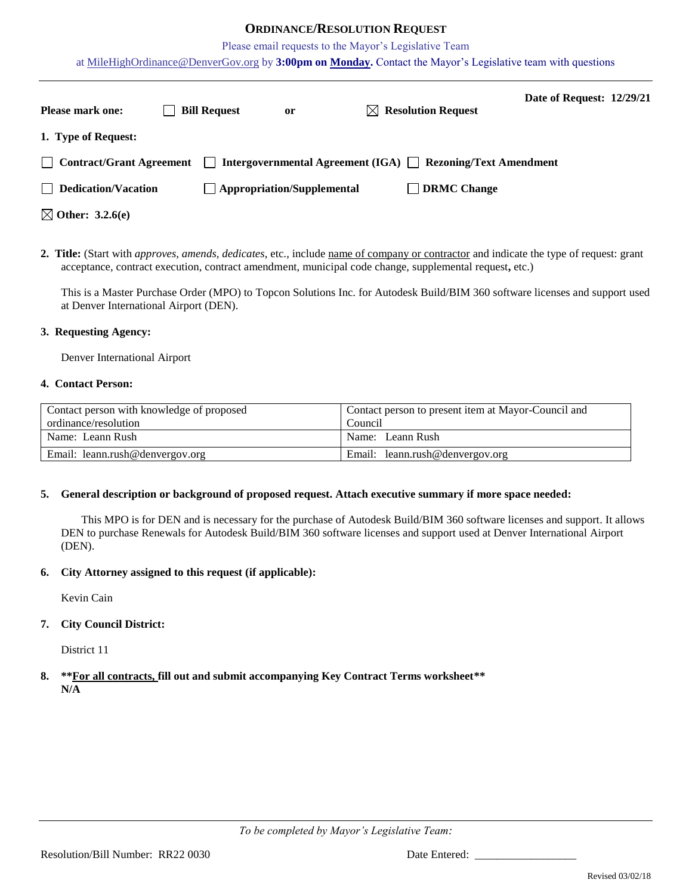## **ORDINANCE/RESOLUTION REQUEST**

Please email requests to the Mayor's Legislative Team

at [MileHighOrdinance@DenverGov.org](mailto:MileHighOrdinance@DenverGov.org) by **3:00pm on Monday.** Contact the Mayor's Legislative team with questions

| <b>Please mark one:</b>     | <b>Bill Request</b> | or                                | $\bowtie$ Resolution Request                                     | Date of Request: 12/29/21 |  |
|-----------------------------|---------------------|-----------------------------------|------------------------------------------------------------------|---------------------------|--|
| 1. Type of Request:         |                     |                                   |                                                                  |                           |  |
| Contract/Grant Agreement    |                     |                                   | Intergovernmental Agreement (IGA) $\Box$ Rezoning/Text Amendment |                           |  |
| $\Box$ Dedication/Vacation  |                     | $\Box$ Appropriation/Supplemental | <b>DRMC</b> Change                                               |                           |  |
| $\boxtimes$ Other: 3.2.6(e) |                     |                                   |                                                                  |                           |  |

**2. Title:** (Start with *approves, amends, dedicates*, etc., include name of company or contractor and indicate the type of request: grant acceptance, contract execution, contract amendment, municipal code change, supplemental request**,** etc.)

This is a Master Purchase Order (MPO) to Topcon Solutions Inc. for Autodesk Build/BIM 360 software licenses and support used at Denver International Airport (DEN).

#### **3. Requesting Agency:**

Denver International Airport

#### **4. Contact Person:**

| Contact person with knowledge of proposed | Contact person to present item at Mayor-Council and |  |  |  |
|-------------------------------------------|-----------------------------------------------------|--|--|--|
| ordinance/resolution                      | Council                                             |  |  |  |
| Name: Leann Rush                          | Name: Leann Rush                                    |  |  |  |
| Email: leann.rush@denvergov.org           | Email: leann.rush@denvergov.org                     |  |  |  |

#### **5. General description or background of proposed request. Attach executive summary if more space needed:**

This MPO is for DEN and is necessary for the purchase of Autodesk Build/BIM 360 software licenses and support. It allows DEN to purchase Renewals for Autodesk Build/BIM 360 software licenses and support used at Denver International Airport (DEN).

#### **6. City Attorney assigned to this request (if applicable):**

Kevin Cain

## **7. City Council District:**

District 11

**8. \*\*For all contracts, fill out and submit accompanying Key Contract Terms worksheet\*\* N/A**